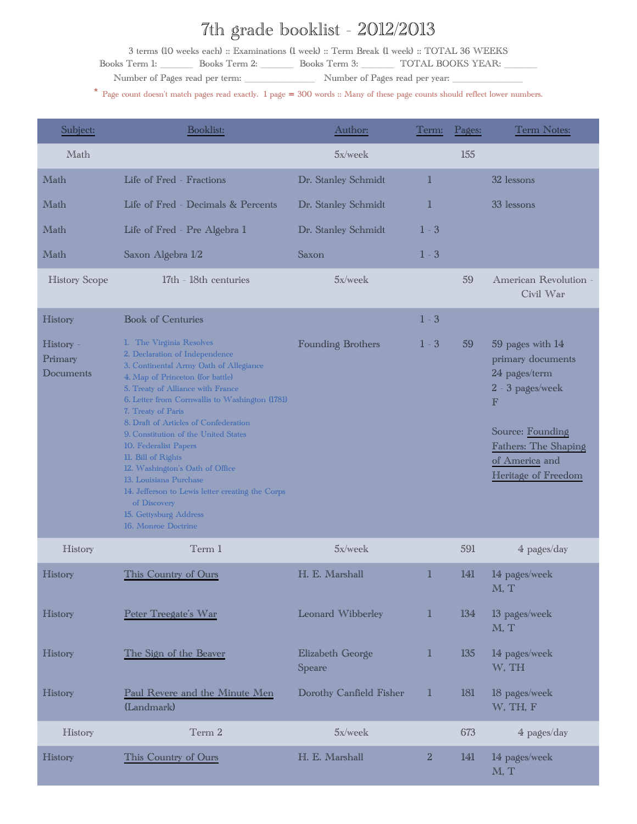## 7th grade booklist - 2012/2013

3 terms (10 weeks each) :: Examinations (1 week) :: Term Break (1 week) :: TOTAL 36 WEEKS

Books Term 1: Books Term 2: Books Term 3: TOTAL BOOKS YEAR:

Number of Pages read per term: \_\_\_\_\_\_\_\_\_\_\_\_\_\_\_ Number of Pages read per year: \_\_\_\_\_\_\_\_\_\_\_\_\_\_\_

\* Page count doesn't match pages read exactly. 1 page <sup>=</sup> 300 words :: Many of these page counts should reflect lower numbers.

| Subject:                          | <b>Booklist:</b>                                                                                                                                                                                                                                                                                                                                                                                                                                                                                                                                                        | Author:                    | Term:        | Pages: | Term Notes:                                                                                                                                                                    |
|-----------------------------------|-------------------------------------------------------------------------------------------------------------------------------------------------------------------------------------------------------------------------------------------------------------------------------------------------------------------------------------------------------------------------------------------------------------------------------------------------------------------------------------------------------------------------------------------------------------------------|----------------------------|--------------|--------|--------------------------------------------------------------------------------------------------------------------------------------------------------------------------------|
| Math                              |                                                                                                                                                                                                                                                                                                                                                                                                                                                                                                                                                                         | 5x/week                    |              | 155    |                                                                                                                                                                                |
| Math                              | Life of Fred - Fractions                                                                                                                                                                                                                                                                                                                                                                                                                                                                                                                                                | Dr. Stanley Schmidt        | $\mathbb{1}$ |        | 32 lessons                                                                                                                                                                     |
| Math                              | Life of Fred - Decimals & Percents                                                                                                                                                                                                                                                                                                                                                                                                                                                                                                                                      | Dr. Stanley Schmidt        | $\mathbb{1}$ |        | 33 lessons                                                                                                                                                                     |
| Math                              | Life of Fred - Pre Algebra 1                                                                                                                                                                                                                                                                                                                                                                                                                                                                                                                                            | Dr. Stanley Schmidt        | $1 - 3$      |        |                                                                                                                                                                                |
| Math                              | Saxon Algebra 1/2                                                                                                                                                                                                                                                                                                                                                                                                                                                                                                                                                       | Saxon                      | $1 - 3$      |        |                                                                                                                                                                                |
| <b>History Scope</b>              | 17th - 18th centuries                                                                                                                                                                                                                                                                                                                                                                                                                                                                                                                                                   | 5x/week                    |              | 59     | American Revolution -<br>Civil War                                                                                                                                             |
| History                           | <b>Book of Centuries</b>                                                                                                                                                                                                                                                                                                                                                                                                                                                                                                                                                |                            | $1 - 3$      |        |                                                                                                                                                                                |
| History -<br>Primary<br>Documents | 1. The Virginia Resolves<br>2. Declaration of Independence<br>3. Continental Army Oath of Allegiance<br>4. Map of Princeton (for battle)<br>5. Treaty of Alliance with France<br>6. Letter from Cornwallis to Washington (1781)<br>7. Treaty of Paris<br>8. Draft of Articles of Confederation<br>9. Constitution of the United States<br>10. Federalist Papers<br>11. Bill of Rights<br>12. Washington's Oath of Office<br>13. Louisiana Purchase<br>14. Jefferson to Lewis letter creating the Corps<br>of Discovery<br>15. Gettysburg Address<br>16. Monroe Doctrine | Founding Brothers          | $1 - 3$      | 59     | 59 pages with 14<br>primary documents<br>24 pages/term<br>2 - 3 pages/week<br>$\mathbb F$<br>Source: Founding<br>Fathers: The Shaping<br>of America and<br>Heritage of Freedom |
| History                           | Term 1                                                                                                                                                                                                                                                                                                                                                                                                                                                                                                                                                                  | 5x/week                    |              | 591    | 4 pages/day                                                                                                                                                                    |
| History                           | This Country of Ours                                                                                                                                                                                                                                                                                                                                                                                                                                                                                                                                                    | H. E. Marshall             | 1            | 141    | 14 pages/week<br>$\mathbb M$ . T                                                                                                                                               |
| History                           | Peter Treegate's War                                                                                                                                                                                                                                                                                                                                                                                                                                                                                                                                                    | Leonard Wibberley          | $\mathbb{I}$ | 134    | 13 pages/week<br>M, T                                                                                                                                                          |
| History                           | The Sign of the Beaver                                                                                                                                                                                                                                                                                                                                                                                                                                                                                                                                                  | Elizabeth George<br>Speare | $\mathbb{1}$ | 135    | 14 pages/week<br>W, TH                                                                                                                                                         |
| History                           | Paul Revere and the Minute Men<br>(Landmark)                                                                                                                                                                                                                                                                                                                                                                                                                                                                                                                            | Dorothy Canfield Fisher    | 1            | 181    | 18 pages/week<br>W, TH, F                                                                                                                                                      |
| History                           | Term 2                                                                                                                                                                                                                                                                                                                                                                                                                                                                                                                                                                  | 5x/week                    |              | 673    | 4 pages/day                                                                                                                                                                    |
| History                           | This Country of Ours                                                                                                                                                                                                                                                                                                                                                                                                                                                                                                                                                    | H. E. Marshall             | $\sqrt{2}$   | 141    | 14 pages/week<br>M, T                                                                                                                                                          |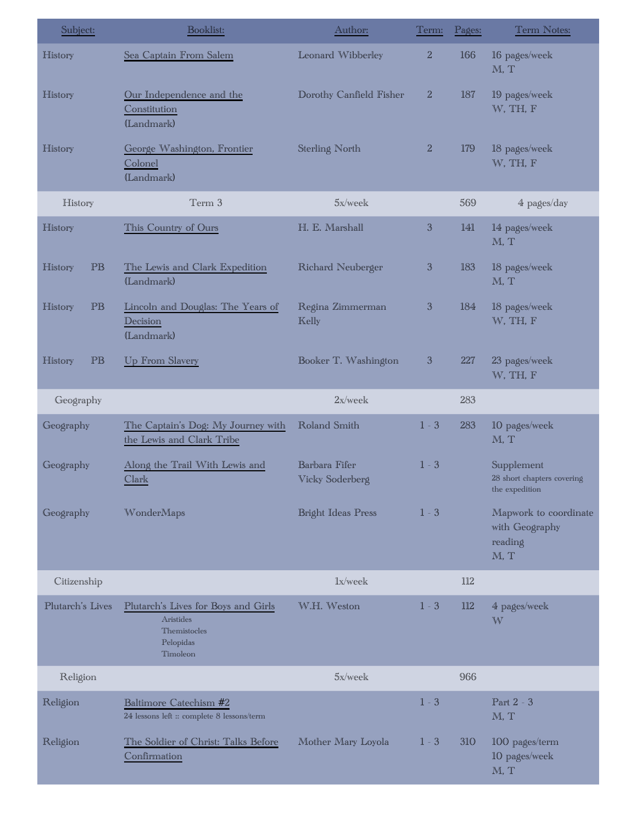| Subject:         | Booklist:                                                                                 | Author:                          | Term:          | Pages: | Term Notes:                                                |
|------------------|-------------------------------------------------------------------------------------------|----------------------------------|----------------|--------|------------------------------------------------------------|
| History          | Sea Captain From Salem                                                                    | Leonard Wibberley                | $\overline{2}$ | 166    | 16 pages/week<br>M, T                                      |
| History          | Our Independence and the<br>Constitution<br>(Landmark)                                    | Dorothy Canfield Fisher          | $\overline{2}$ | 187    | 19 pages/week<br>W, TH, F                                  |
| History          | George Washington, Frontier<br>Colonel<br>(Landmark)                                      | Sterling North                   | $\mathbf{2}$   | 179    | 18 pages/week<br>W, TH, F                                  |
| History          | Term 3                                                                                    | 5x/week                          |                | 569    | 4 pages/day                                                |
| History          | This Country of Ours                                                                      | H. E. Marshall                   | $\mathfrak{B}$ | 141    | 14 pages/week<br>M, T                                      |
| PB<br>History    | The Lewis and Clark Expedition<br>(Landmark)                                              | Richard Neuberger                | $\mathfrak{B}$ | 183    | 18 pages/week<br>M, T                                      |
| PB<br>History    | Lincoln and Douglas: The Years of<br>Decision<br>(Landmark)                               | Regina Zimmerman<br>Kelly        | $\sqrt{3}$     | 184    | 18 pages/week<br>W, TH, F                                  |
| PB<br>History    | Up From Slavery                                                                           | Booker T. Washington             | $\mathfrak{B}$ | 227    | 23 pages/week<br>W, TH, F                                  |
| Geography        |                                                                                           | 2x/week                          |                | 283    |                                                            |
| Geography        | The Captain's Dog: My Journey with<br>the Lewis and Clark Tribe                           | Roland Smith                     | $1 - 3$        | 283    | 10 pages/week<br>M, T                                      |
| Geography        | Along the Trail With Lewis and<br>Clark                                                   | Barbara Fifer<br>Vicky Soderberg | $1 - 3$        |        | Supplement<br>28 short chapters covering<br>the expedition |
| Geography        | WonderMaps                                                                                | <b>Bright Ideas Press</b>        | $1 - 3$        |        | Mapwork to coordinate<br>with Geography<br>reading<br>M, T |
| Citizenship      |                                                                                           | lx/week                          |                | 112    |                                                            |
| Plutarch's Lives | Plutarch's Lives for Boys and Girls<br>Aristides<br>Themistocles<br>Pelopidas<br>Timoleon | W.H. Weston                      | $1 - 3$        | 112    | 4 pages/week<br>W                                          |
| Religion         |                                                                                           | 5x/week                          |                | 966    |                                                            |
| Religion         | Baltimore Catechism #2<br>24 lessons left :: complete 8 lessons/term                      |                                  | $1 - 3$        |        | Part 2 - 3<br>M, T                                         |
| Religion         | The Soldier of Christ: Talks Before<br>Confirmation                                       | Mother Mary Loyola               | $1 - 3$        | 310    | 100 pages/term<br>10 pages/week<br>M, T                    |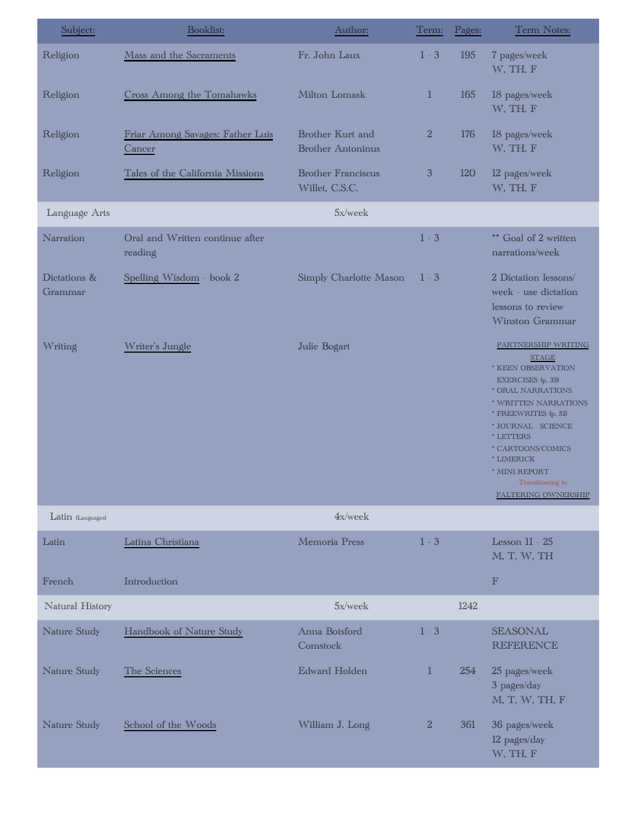| Subject:                | Booklist:                                  | Author:                                      | Term:        | Pages: | Term Notes:                                                                                                                                                                                                                                                                                   |
|-------------------------|--------------------------------------------|----------------------------------------------|--------------|--------|-----------------------------------------------------------------------------------------------------------------------------------------------------------------------------------------------------------------------------------------------------------------------------------------------|
| Religion                | Mass and the Sacraments                    | Fr. John Laux                                | $1 - 3$      | 195    | 7 pages/week<br>W, TH, F                                                                                                                                                                                                                                                                      |
| Religion                | Cross Among the Tomahawks                  | Milton Lomask                                | 1            | 165    | 18 pages/week<br>W, TH, F                                                                                                                                                                                                                                                                     |
| Religion                | Friar Among Savages: Father Luis<br>Cancer | Brother Kurt and<br><b>Brother Antoninus</b> | $\mathbf{2}$ | 176    | 18 pages/week<br>W, TH, F                                                                                                                                                                                                                                                                     |
| Religion                | Tales of the California Missions           | <b>Brother Franciscus</b><br>Willet, C.S.C.  | $\mathbf{3}$ | 120    | 12 pages/week<br>W, TH, F                                                                                                                                                                                                                                                                     |
| Language Arts           |                                            | 5x/week                                      |              |        |                                                                                                                                                                                                                                                                                               |
| Narration               | Oral and Written continue after<br>reading |                                              | $1 - 3$      |        | ** Goal of 2 written<br>narrations/week                                                                                                                                                                                                                                                       |
| Dictations &<br>Grammar | Spelling Wisdom - book 2                   | Simply Charlotte Mason                       | $1 - 3$      |        | 2 Dictation lessons/<br>week - use dictation<br>lessons to review<br>Winston Grammar                                                                                                                                                                                                          |
| Writing                 | Writer's Jungle                            | Julie Bogart                                 |              |        | PARTNERSHIP WRITING<br><b>STAGE</b><br>* KEEN OBSERVATION<br>EXERCISES (p. 33)<br>* ORAL NARRATIONS<br>* WRITTEN NARRATIONS<br>* FREEWRITES (p. 51)<br>* JOURNAL - SCIENCE<br>* LETTERS<br>* CARTOONS/COMICS<br>* LIMERICK<br>* MINI-REPORT<br>Transitioning to<br><b>FALTERING OWNERSHIP</b> |
| Latin (Languages)       |                                            | 4x/week                                      |              |        |                                                                                                                                                                                                                                                                                               |
| Latin<br>French         | Latina Christiana<br>Introduction          | Memoria Press                                | $1 - 3$      |        | Lesson 11 - 25<br>M, T, W, TH<br>$\mathbb{F}$                                                                                                                                                                                                                                                 |
| Natural History         |                                            | 5x/week                                      |              | 1242   |                                                                                                                                                                                                                                                                                               |
| Nature Study            | Handbook of Nature Study                   | Anna Botsford<br>Comstock                    | $1 - 3$      |        | <b>SEASONAL</b><br><b>REFERENCE</b>                                                                                                                                                                                                                                                           |
| Nature Study            | The Sciences                               | <b>Edward Holden</b>                         | $\mathbb{1}$ | 254    | 25 pages/week<br>3 pages/day<br>M, T, W, TH, F                                                                                                                                                                                                                                                |
| Nature Study            | School of the Woods                        | William J. Long                              | $\mathbf{2}$ | 361    | 36 pages/week<br>12 pages/day<br>W, TH, F                                                                                                                                                                                                                                                     |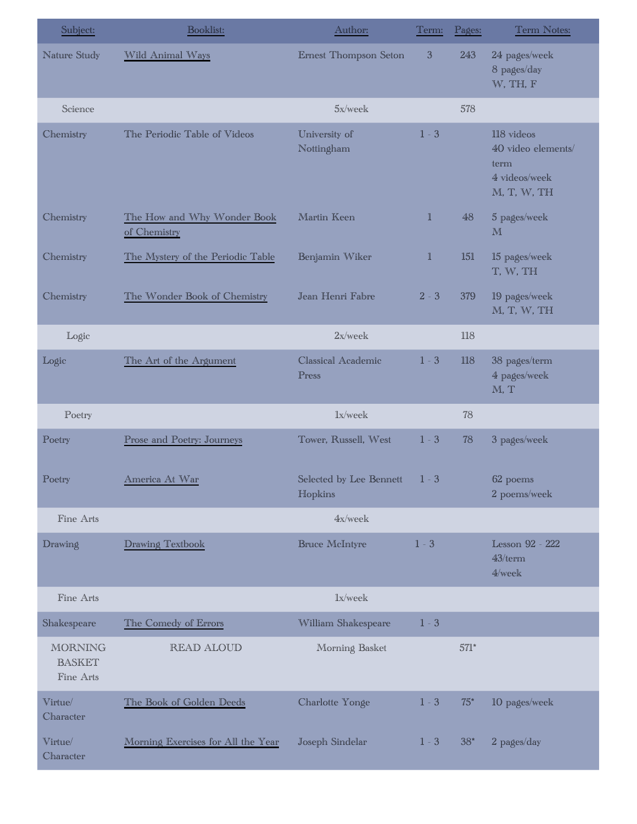| Subject:                                     | Booklist:                                   | Author:                            | Term:          | Pages: | Term Notes:                                                              |
|----------------------------------------------|---------------------------------------------|------------------------------------|----------------|--------|--------------------------------------------------------------------------|
| Nature Study                                 | Wild Animal Ways                            | Ernest Thompson Seton              | $\mathfrak{Z}$ | 243    | 24 pages/week<br>8 pages/day<br>W, TH, F                                 |
| Science                                      |                                             | 5x/week                            |                | 578    |                                                                          |
| Chemistry                                    | The Periodic Table of Videos                | University of<br>Nottingham        | $1 - 3$        |        | 118 videos<br>40 video elements/<br>term<br>4 videos/week<br>M, T, W, TH |
| Chemistry                                    | The How and Why Wonder Book<br>of Chemistry | Martin Keen                        | $\mathbb{1}$   | 48     | 5 pages/week<br>M                                                        |
| Chemistry                                    | The Mystery of the Periodic Table           | Benjamin Wiker                     | $\mathbb{I}$   | 151    | 15 pages/week<br>T, W, TH                                                |
| Chemistry                                    | The Wonder Book of Chemistry                | Jean Henri Fabre                   | $2 - 3$        | 379    | 19 pages/week<br>M, T, W, TH                                             |
| Logic                                        |                                             | 2x/week                            |                | 118    |                                                                          |
| Logic                                        | The Art of the Argument                     | Classical Academic<br>Press        | $1 - 3$        | 118    | 38 pages/term<br>4 pages/week<br>M, T                                    |
| Poetry                                       |                                             | lx/week                            |                | 78     |                                                                          |
| Poetry                                       | Prose and Poetry: Journeys                  | Tower, Russell, West               | $1 - 3$        | 78     | 3 pages/week                                                             |
| Poetry                                       | America At War                              | Selected by Lee Bennett<br>Hopkins | $1 - 3$        |        | 62 poems<br>2 poems/week                                                 |
| Fine Arts                                    |                                             | 4x/week                            |                |        |                                                                          |
| Drawing                                      | Drawing Textbook                            | <b>Bruce McIntyre</b>              | $1 - 3$        |        | Lesson 92 - 222<br>43/term<br>4/week                                     |
| Fine Arts                                    |                                             | lx/week                            |                |        |                                                                          |
| Shakespeare                                  | The Comedy of Errors                        | William Shakespeare                | $1 - 3$        |        |                                                                          |
| <b>MORNING</b><br><b>BASKET</b><br>Fine Arts | READ ALOUD                                  | Morning Basket                     |                | $571*$ |                                                                          |
| Virtue/<br>Character                         | The Book of Golden Deeds                    | Charlotte Yonge                    | $1 - 3$        | $75*$  | 10 pages/week                                                            |
| Virtue/<br>Character                         | Morning Exercises for All the Year          | Joseph Sindelar                    | $1 - 3$        | $38*$  | 2 pages/day                                                              |